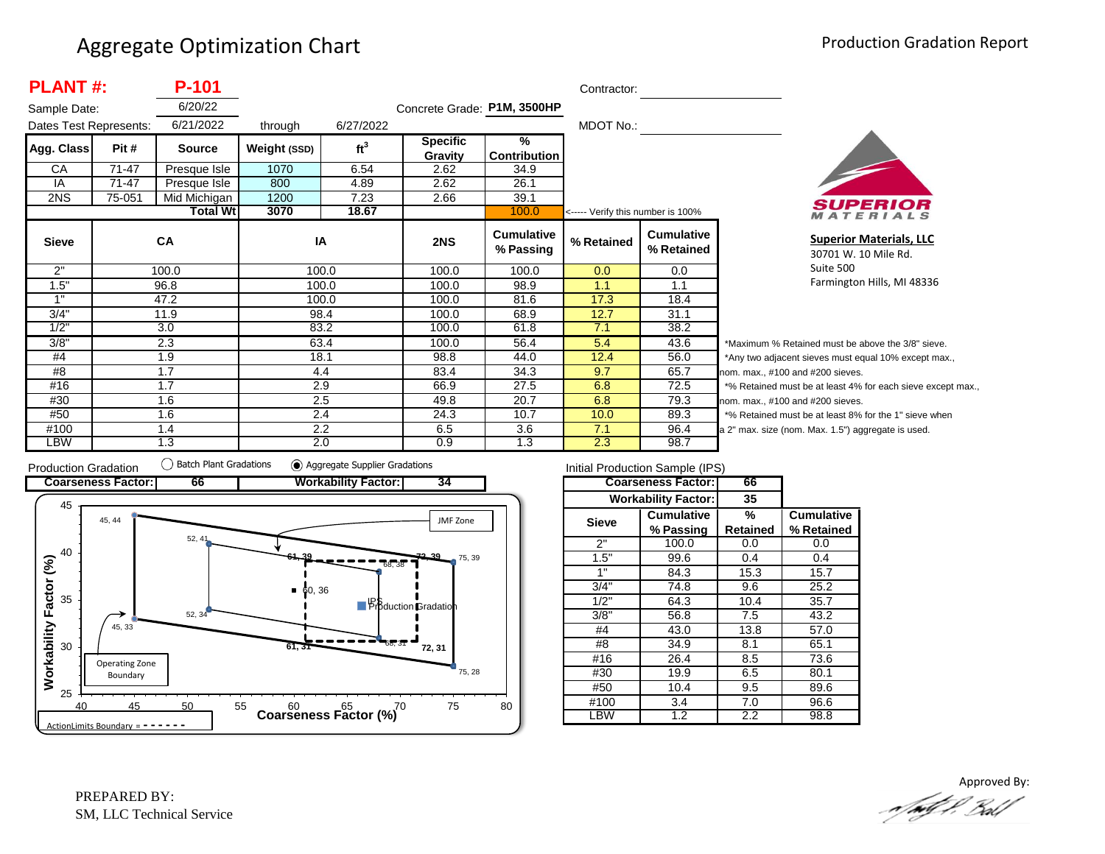|                        | <b>PLANT#:</b><br>P-101 |                 |              |                 |                             |                                | Contractor:                       |                                 |                |  |  |
|------------------------|-------------------------|-----------------|--------------|-----------------|-----------------------------|--------------------------------|-----------------------------------|---------------------------------|----------------|--|--|
| Sample Date:           |                         | 6/20/22         |              |                 | Concrete Grade: P1M, 3500HP |                                |                                   |                                 |                |  |  |
| Dates Test Represents: |                         | 6/21/2022       | through      | 6/27/2022       |                             |                                | MDOT No.:                         |                                 |                |  |  |
| Agg. Class             | Pit #                   | <b>Source</b>   | Weight (SSD) | ft <sup>3</sup> | <b>Specific</b>             | $\frac{9}{6}$                  |                                   |                                 |                |  |  |
|                        |                         |                 |              |                 | Gravity                     | Contribution                   |                                   |                                 |                |  |  |
| СA                     | 71-47                   | Presque Isle    | 1070         | 6.54            | 2.62                        | 34.9                           |                                   |                                 |                |  |  |
| IA                     | 71-47                   | Presque Isle    | 800          | 4.89            | 2.62                        | 26.1                           |                                   |                                 |                |  |  |
| 2NS                    | 75-051                  | Mid Michigan    | 1200         | 7.23            | 2.66                        | 39.1                           |                                   |                                 |                |  |  |
|                        |                         | <b>Total Wt</b> | 3070         | 18.67           |                             | 100.0                          | <----- Verify this number is 100% |                                 |                |  |  |
| <b>Sieve</b>           |                         | CA              | IA           |                 | 2NS                         | <b>Cumulative</b><br>% Passing | % Retained                        | <b>Cumulative</b><br>% Retained |                |  |  |
| 2"                     |                         | 100.0           | 100.0        |                 | 100.0                       | 100.0                          | 0.0                               | 0.0                             |                |  |  |
| 1.5"                   |                         | 96.8            |              | 100.0           | 100.0                       | 98.9                           | 1.1                               | 1.1                             |                |  |  |
| 1"                     |                         | 47.2            | 100.0        |                 | 100.0                       | 81.6                           | 17.3                              | 18.4                            |                |  |  |
| 3/4"                   |                         | 11.9            | 98.4         |                 | 100.0                       | 68.9                           | 12.7                              | 31.1                            |                |  |  |
| 1/2"                   |                         | 3.0             |              | 83.2            | 100.0                       | 61.8                           | 7.1                               | 38.2                            |                |  |  |
| 3/8"                   |                         | 2.3             | 63.4         |                 | 100.0                       | 56.4                           | 5.4                               | 43.6                            | *Μ             |  |  |
| #4                     |                         | 1.9             | 18.1         |                 | 98.8                        | 44.0                           | 12.4                              | 56.0                            | *Α             |  |  |
| #8                     |                         | 1.7             | 4.4          |                 | 83.4                        | 34.3                           | 9.7                               | 65.7                            | nor            |  |  |
| #16                    |                         | 1.7             | 2.9          |                 | 66.9                        | 27.5                           | 6.8                               | 72.5                            | $*_{\circ}$    |  |  |
| #30                    |                         | 1.6             | 2.5          |                 | 49.8                        | 20.7                           | 6.8                               | 79.3                            | nor            |  |  |
| #50                    |                         | 1.6             |              | 2.4             | 24.3                        | 10.7                           | 10.0                              | 89.3                            | $*_{0}$        |  |  |
| #100                   |                         | 1.4             |              | 2.2             | 6.5                         | 3.6                            | 7.1                               | 96.4                            | a <sub>2</sub> |  |  |
| LBW                    |                         | 1.3             | 2.0          |                 | 0.9                         | 1.3                            | 2.3                               | 98.7                            |                |  |  |



**Superior Materials, LLC** 30701 W. 10 Mile Rd. Suite 500 Farmington Hills, MI 48336

Maximum % Retained must be above the 3/8" sieve. Any two adjacent sieves must equal 10% except max., m. max., #100 and #200 sieves. % Retained must be at least 4% for each sieve except max., m. max., #100 and #200 sieves. % Retained must be at least 8% for the 1" sieve when " max. size (nom. Max. 1.5") aggregate is used.



|              | Initial Production Sample (IPS) |                 |                   |
|--------------|---------------------------------|-----------------|-------------------|
|              | <b>Coarseness Factor:</b>       | 66              |                   |
|              | <b>Workability Factor:</b>      | 35              |                   |
| <b>Sieve</b> | <b>Cumulative</b>               | %               | <b>Cumulative</b> |
|              | % Passing                       | <b>Retained</b> | % Retained        |
| 2"           | 100.0                           | 0.0             | 0.0               |
| 1.5"         | 99.6                            | 0.4             | 0.4               |
| 1"           | 84.3                            | 15.3            | 15.7              |
| 3/4"         | 74.8                            | 9.6             | 25.2              |
| 1/2"         | 64.3                            | 10.4            | 35.7              |
| 3/8"         | 56.8                            | 7.5             | 43.2              |
| #4           | 43.0                            | 13.8            | 57.0              |
| #8           | 34.9                            | 8.1             | 65.1              |
| #16          | 26.4                            | 8.5             | 73.6              |
| #30          | 19.9                            | 6.5             | 80.1              |
| #50          | 10.4                            | 9.5             | 89.6              |
| #100         | 3.4                             | 7.0             | 96.6              |
| LBW          | $\overline{1.2}$                | 2.2             | 98.8              |

Approved By:a fødf f. Bolf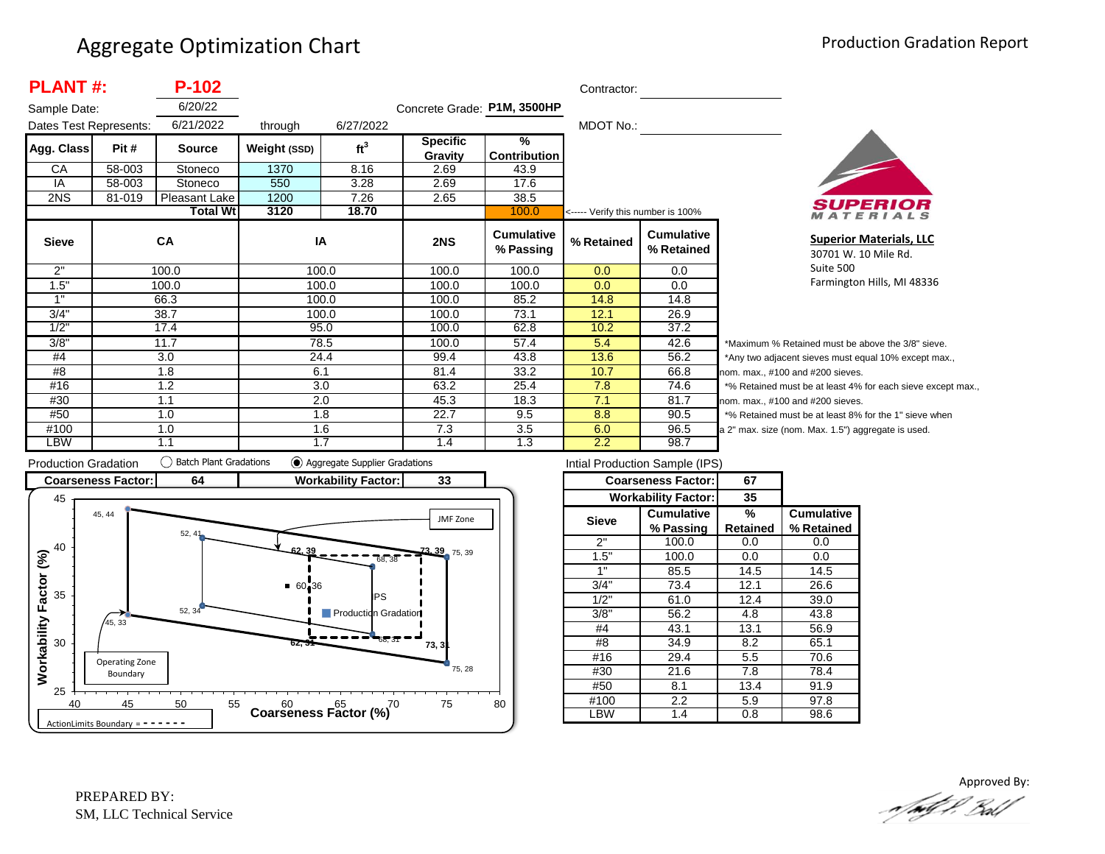| <b>PLANT#:</b><br>$P-102$ |               |                 |              |                 |                                   | Contractor:                          |                                   |                                 |
|---------------------------|---------------|-----------------|--------------|-----------------|-----------------------------------|--------------------------------------|-----------------------------------|---------------------------------|
| Sample Date:              |               | 6/20/22         |              |                 | Concrete Grade: P1M, 3500HP       |                                      |                                   |                                 |
| Dates Test Represents:    |               | 6/21/2022       | through      | 6/27/2022       |                                   |                                      | MDOT No.:                         |                                 |
| Agg. Class                | Pit #         | <b>Source</b>   | Weight (SSD) | ft <sup>3</sup> | <b>Specific</b><br><b>Gravity</b> | $\frac{9}{6}$<br><b>Contribution</b> |                                   |                                 |
| CA                        | 58-003        | Stoneco         | 1370         | 8.16            | 2.69                              | 43.9                                 |                                   |                                 |
| IA                        | 58-003        | Stoneco         | 550          | 3.28            | 2.69                              | 17.6                                 |                                   |                                 |
| 2NS                       | 81-019        | Pleasant Lake   | 1200         | 7.26            | 2.65                              | 38.5                                 |                                   |                                 |
|                           |               | <b>Total Wt</b> | 3120         | 18.70           |                                   | 100.0                                | <----- Verify this number is 100% |                                 |
| <b>Sieve</b>              |               | CA              | IA           |                 | 2NS                               | <b>Cumulative</b><br>% Passing       | % Retained                        | <b>Cumulative</b><br>% Retained |
| 2"                        |               | 100.0           |              | 100.0           | 100.0                             | 100.0                                | 0.0                               | 0.0                             |
| 1.5"                      |               | 100.0           |              | 100.0           | 100.0                             | 100.0                                | 0.0                               | 0.0                             |
| 1"                        |               | 66.3            |              | 100.0           | 100.0                             | 85.2                                 | 14.8                              | 14.8                            |
| 3/4"                      | 38.7<br>100.0 | 100.0           | 73.1         | 12.1            | 26.9                              |                                      |                                   |                                 |
| 1/2"                      |               | 17.4            |              | 95.0            | 100.0                             | 62.8                                 | 10.2                              | 37.2                            |
| 3/8"                      |               | 11.7            |              | 78.5            | 100.0                             | 57.4                                 | 5.4                               | 42.6                            |
| #4                        |               | 3.0             |              | 24.4            | 99.4                              | 43.8                                 | 13.6                              | 56.2                            |
| #8                        |               | 1.8             | 6.1          |                 | 81.4                              | 33.2                                 | 10.7                              | 66.8<br>nc                      |
| #16                       |               | 1.2             |              | 3.0             | 63.2                              | 25.4                                 | 7.8                               | 74.6                            |
| #30                       |               | 1.1             | 2.0          |                 | 45.3                              | 18.3                                 | 7.1                               | 81.7<br>nc                      |
| #50                       |               | 1.0             |              | 1.8             | 22.7                              | 9.5                                  | 8.8                               | 90.5                            |
| #100                      |               | 1.0             |              | 1.6             | 7.3                               | 3.5                                  | 6.0                               | 96.5<br>la :                    |
| LBW                       |               | 1.1             |              | 1.7             | 1.4                               | 1.3                                  | 2.2                               | 98.7                            |



**Superior Materials, LLC** 30701 W. 10 Mile Rd. Suite 500 Farmington Hills, MI 48336

Maximum % Retained must be above the 3/8" sieve. Any two adjacent sieves must equal 10% except max.,  $\mathsf{pm}$ . max., #100 and #200 sieves. % Retained must be at least 4% for each sieve except max.,  $om.$  max.,  $#100$  and  $#200$  sieves. % Retained must be at least 8% for the 1" sieve when 2" max. size (nom. Max. 1.5") aggregate is used.



| Intial Production Sample (IPS) |                            |                 |                   |  |  |  |  |  |
|--------------------------------|----------------------------|-----------------|-------------------|--|--|--|--|--|
|                                | <b>Coarseness Factor:</b>  | 67              |                   |  |  |  |  |  |
|                                | <b>Workability Factor:</b> | 35              |                   |  |  |  |  |  |
| Sieve                          | <b>Cumulative</b>          | %               | <b>Cumulative</b> |  |  |  |  |  |
|                                | % Passing                  | <b>Retained</b> | % Retained        |  |  |  |  |  |
| 2"                             | 100.0                      | 0.0             | 0.0               |  |  |  |  |  |
| 1.5"                           | 100.0                      | 0.0             | 0.0               |  |  |  |  |  |
| 1"                             | 85.5                       | 14.5            | 14.5              |  |  |  |  |  |
| 3/4"                           | 73.4                       | 12.1            | 26.6              |  |  |  |  |  |
| 1/2"                           | 61.0                       | 12.4            | 39.0              |  |  |  |  |  |
| 3/8"                           | 56.2                       | 4.8             | 43.8              |  |  |  |  |  |
| #4                             | 43.1                       | 13.1            | 56.9              |  |  |  |  |  |
| #8                             | 34.9                       | 8.2             | 65.1              |  |  |  |  |  |
| #16                            | 29.4                       | 5.5             | 70.6              |  |  |  |  |  |
| #30                            | 21.6                       | 7.8             | 78.4              |  |  |  |  |  |
| #50                            | 8.1                        | 13.4            | 91.9              |  |  |  |  |  |
| #100                           | 2.2                        | 5.9             | 97.8              |  |  |  |  |  |
| LBW                            | 1.4                        | 0.8             | 98.6              |  |  |  |  |  |
|                                |                            |                 |                   |  |  |  |  |  |

Approved By:<br>Approved By: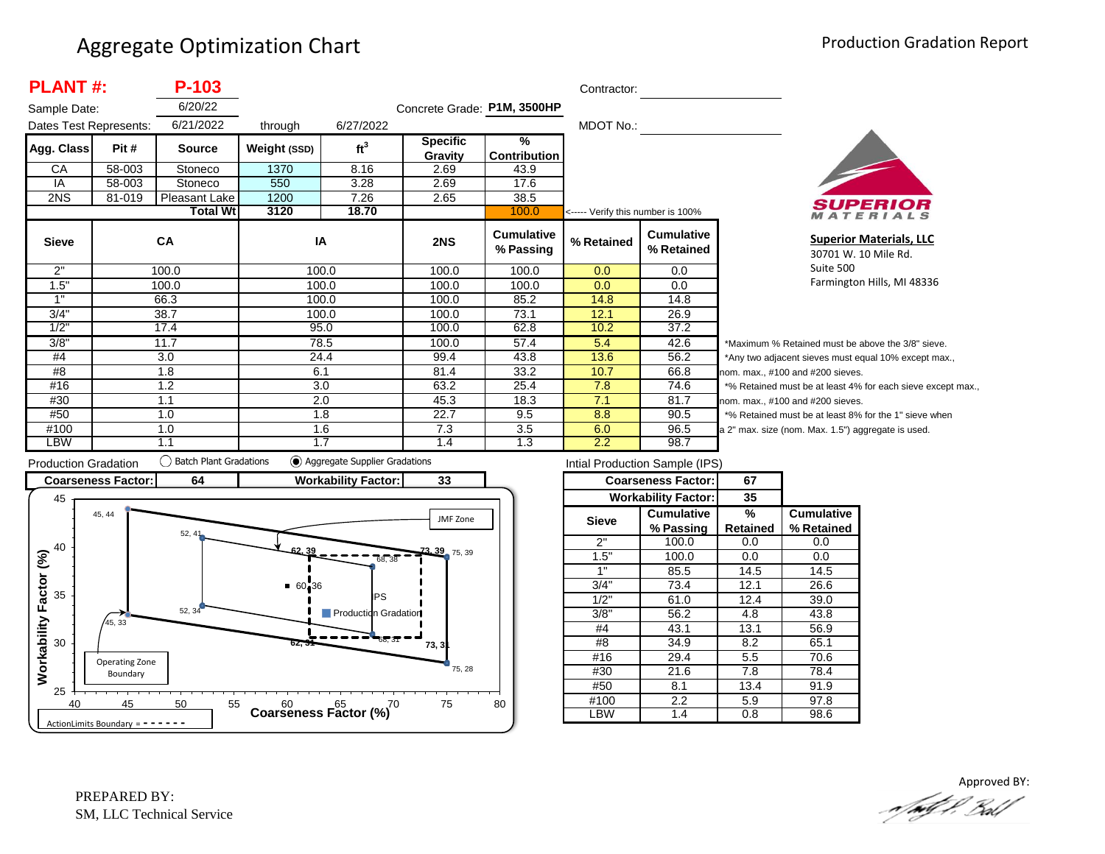| <b>PLANT#:</b><br>P-103 |        |                 |              |                 |                             | Contractor:                    |                                   |                                 |          |
|-------------------------|--------|-----------------|--------------|-----------------|-----------------------------|--------------------------------|-----------------------------------|---------------------------------|----------|
| Sample Date:            |        | 6/20/22         |              |                 | Concrete Grade: P1M, 3500HP |                                |                                   |                                 |          |
| Dates Test Represents:  |        | 6/21/2022       | through      | 6/27/2022       |                             |                                | MDOT No.:                         |                                 |          |
| Agg. Class              | Pit #  | <b>Source</b>   | Weight (SSD) | ft <sup>3</sup> | <b>Specific</b>             | %                              |                                   |                                 |          |
|                         |        |                 |              |                 | Gravity                     | <b>Contribution</b>            |                                   |                                 |          |
| CA                      | 58-003 | Stoneco         | 1370         | 8.16            | 2.69                        | 43.9                           |                                   |                                 |          |
| IA                      | 58-003 | Stoneco         | 550          | 3.28            | 2.69                        | 17.6                           |                                   |                                 |          |
| 2NS                     | 81-019 | Pleasant Lake   | 1200         | 7.26            | 2.65                        | 38.5                           |                                   |                                 |          |
|                         |        | <b>Total Wt</b> | 3120         | 18.70           |                             | 100.0                          | <----- Verify this number is 100% |                                 |          |
| <b>Sieve</b>            |        | <b>CA</b>       | IA           |                 | 2NS                         | <b>Cumulative</b><br>% Passing | % Retained                        | <b>Cumulative</b><br>% Retained |          |
| 2"                      |        | 100.0           |              | 100.0           | 100.0                       | 100.0                          | 0.0                               | 0.0                             |          |
| 1.5"                    |        | 100.0           |              | 100.0           | 100.0                       | 100.0                          | 0.0                               | 0.0                             |          |
| 1"                      |        | 66.3            |              | 100.0           | 100.0                       | 85.2                           | 14.8                              | 14.8                            |          |
| 3/4"                    |        | 38.7            |              | 100.0           | 100.0                       | 73.1                           | 12.1                              | 26.9                            |          |
| 1/2"                    |        | 17.4            |              | 95.0            | 100.0                       | 62.8                           | 10.2                              | 37.2                            |          |
| 3/8"                    |        | 11.7            |              | 78.5            | 100.0                       | 57.4                           | 5.4                               | 42.6                            | $^\star$ |
| #4                      |        | 3.0             |              | 24.4            | 99.4                        | 43.8                           | 13.6                              | 56.2                            |          |
| #8                      |        | 1.8             | 6.1          |                 | 81.4                        | 33.2                           | 10.7                              | 66.8                            | no       |
| #16                     |        | 1.2             |              | 3.0             | 63.2                        | 25.4                           | 7.8                               | 74.6                            |          |
| #30                     |        | 1.1             | 2.0          |                 | 45.3                        | 18.3                           | 7.1                               | 81.7                            | no       |
| #50                     |        | 1.0             |              | 1.8             | 22.7                        | 9.5                            | 8.8                               | 90.5                            |          |
| #100                    |        | 1.0             |              | 1.6             | 7.3                         | 3.5                            | 6.0                               | 96.5                            | la 2     |
| LBW                     |        | 1.1             |              | 1.7             | 1.4                         | 1.3                            | 2.2                               | 98.7                            |          |



**Superior Materials, LLC** 30701 W. 10 Mile Rd. Suite 500 Farmington Hills, MI 48336

Maximum % Retained must be above the 3/8" sieve. Any two adjacent sieves must equal 10% except max.,  $em.$  max.,  $#100$  and  $#200$  sieves. % Retained must be at least 4% for each sieve except max.,  $km.$  max.,  $#100$  and  $#200$  sieves. % Retained must be at least 8% for the 1" sieve when 2" max. size (nom. Max. 1.5") aggregate is used.



| Intial Production Sample (IPS) |                            |                 |                   |  |  |  |  |  |  |
|--------------------------------|----------------------------|-----------------|-------------------|--|--|--|--|--|--|
|                                | <b>Coarseness Factor:</b>  | 67              |                   |  |  |  |  |  |  |
|                                | <b>Workability Factor:</b> | 35              |                   |  |  |  |  |  |  |
| <b>Sieve</b>                   | <b>Cumulative</b>          | %               | <b>Cumulative</b> |  |  |  |  |  |  |
|                                | % Passing                  | <b>Retained</b> | % Retained        |  |  |  |  |  |  |
| 2"                             | 100.0                      | 0.0             | 0.0               |  |  |  |  |  |  |
| 1.5"                           | 100.0                      | 0.0             | 0.0               |  |  |  |  |  |  |
| 1"                             | 85.5                       | 14.5            | 14.5              |  |  |  |  |  |  |
| 3/4"                           | 73.4                       | 12.1            | 26.6              |  |  |  |  |  |  |
| 1/2"                           | 61.0                       | 12.4            | 39.0              |  |  |  |  |  |  |
| 3/8"                           | 56.2                       | 4.8             | 43.8              |  |  |  |  |  |  |
| #4                             | 43.1                       | 13.1            | 56.9              |  |  |  |  |  |  |
| #8                             | 34.9                       | 8.2             | 65.1              |  |  |  |  |  |  |
| #16                            | 29.4                       | 5.5             | 70.6              |  |  |  |  |  |  |
| #30                            | 21.6                       | 7.8             | 78.4              |  |  |  |  |  |  |
| #50                            | 8.1                        |                 | 91.9              |  |  |  |  |  |  |
| #100                           | $2.2\phantom{0}$           |                 | 97.8              |  |  |  |  |  |  |
| .BW                            | 1.4                        | 0.8             | 98.6              |  |  |  |  |  |  |

Approved BY:a fødf i Bold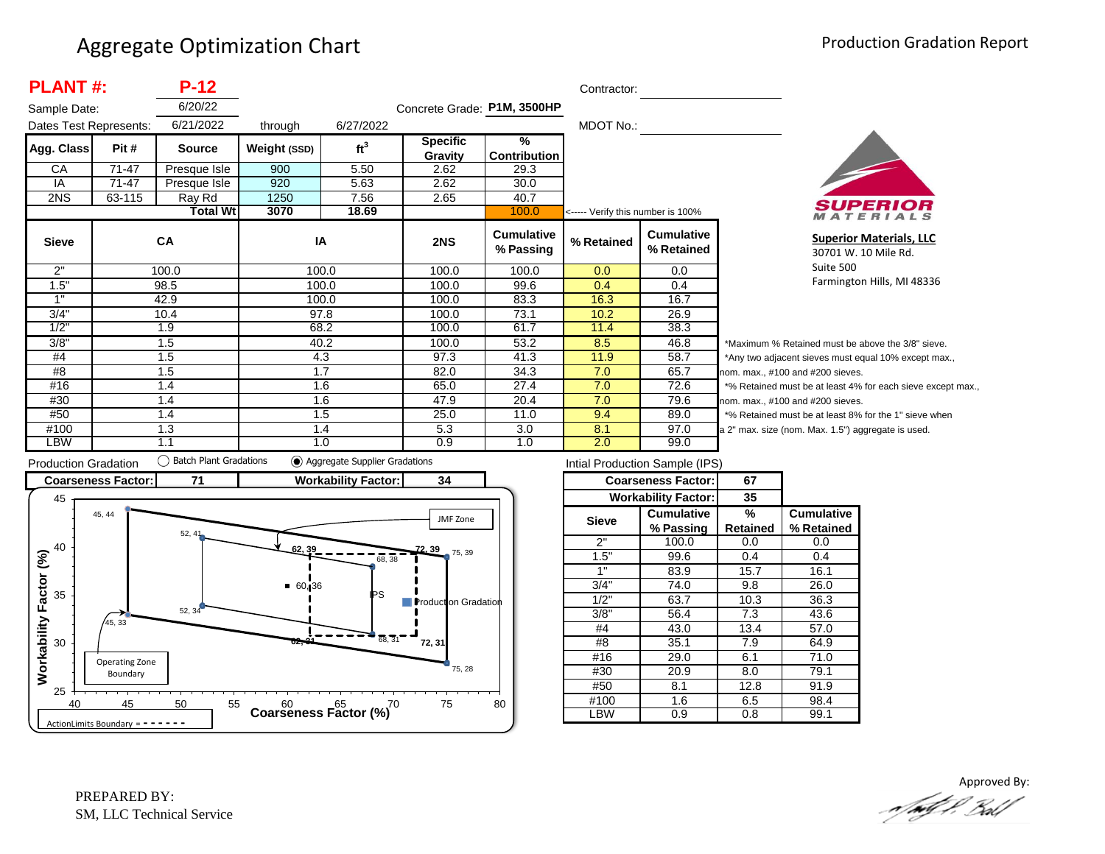| <b>PLANT#:</b><br>$P-12$ |                        |                 |              |                 |                             | Contractor:                    |            |                                                                      |       |  |
|--------------------------|------------------------|-----------------|--------------|-----------------|-----------------------------|--------------------------------|------------|----------------------------------------------------------------------|-------|--|
| Sample Date:             |                        | 6/20/22         |              |                 | Concrete Grade: P1M, 3500HP |                                |            |                                                                      |       |  |
|                          | Dates Test Represents: |                 | through      | 6/27/2022       |                             |                                | MDOT No.:  |                                                                      |       |  |
| Agg. Class               | Pit #                  | <b>Source</b>   | Weight (SSD) | ft <sup>3</sup> | <b>Specific</b>             | $\frac{9}{6}$                  |            |                                                                      |       |  |
|                          |                        |                 |              |                 | Gravity                     | <b>Contribution</b>            |            |                                                                      |       |  |
| CA                       | $71 - 47$              | Presque Isle    | 900          | 5.50            | 2.62                        | 29.3                           |            |                                                                      |       |  |
| IA                       | 71-47                  | Presque Isle    | 920          | 5.63            | 2.62                        | 30.0                           |            |                                                                      |       |  |
| 2NS                      | 63-115                 | Ray Rd          | 1250         | 7.56            | 2.65                        | 40.7                           |            | <----- Verify this number is 100%<br><b>Cumulative</b><br>% Retained |       |  |
|                          |                        | <b>Total Wt</b> | 3070         | 18.69           |                             | 100.0                          |            |                                                                      |       |  |
| <b>Sieve</b>             |                        | CA              | IA           |                 | 2NS                         | <b>Cumulative</b><br>% Passing | % Retained |                                                                      |       |  |
| 2"                       |                        | 100.0           | 100.0        |                 | 100.0                       | 100.0                          | 0.0        | 0.0                                                                  |       |  |
| 1.5"                     |                        | 98.5            | 100.0        |                 | 100.0                       | 99.6                           | 0.4        | 0.4                                                                  |       |  |
| 1"                       |                        | 42.9            | 100.0        |                 | 100.0                       | 83.3                           | 16.3       | 16.7                                                                 |       |  |
| 3/4"                     |                        | 10.4            | 97.8         |                 | 100.0                       | 73.1                           | 10.2       | 26.9                                                                 |       |  |
| 1/2"                     |                        | 1.9             | 68.2         |                 | 100.0                       | 61.7                           | 11.4       | 38.3                                                                 |       |  |
| 3/8"                     |                        | 1.5             | 40.2         |                 | 100.0                       | 53.2                           | 8.5        | 46.8                                                                 | *M    |  |
| #4                       |                        | 1.5             | 4.3          |                 | 97.3                        | 41.3                           | 11.9       | 58.7                                                                 | *A    |  |
| #8                       |                        | 1.5             | 1.7          |                 | 82.0                        | 34.3                           | 7.0        | 65.7                                                                 | non   |  |
| #16                      |                        | 1.4             | 1.6          |                 | 65.0                        | 27.4                           | 7.0        | 72.6                                                                 | $*$ % |  |
| #30                      |                        | 1.4             | 1.6          |                 | 47.9                        | 20.4                           | 7.0        | 79.6                                                                 | non   |  |
| #50                      |                        | 1.4             | 1.5          |                 | 25.0                        | 11.0                           | 9.4        | 89.0                                                                 | $*$ % |  |
| #100                     |                        | 1.3             | 1.4          |                 | 5.3                         | 3.0                            | 8.1        | 97.0                                                                 | a 2"  |  |
| <b>LBW</b>               |                        | 1.1             | 1.0          |                 | 0.9                         | 1.0                            | 2.0        | 99.0                                                                 |       |  |



**Superior Materials, LLC** 30701 W. 10 Mile Rd. Suite 500 Farmington Hills, MI 48336

laximum % Retained must be above the 3/8" sieve. ny two adjacent sieves must equal 10% except max., 1. max., #100 and #200 sieves. Retained must be at least 4% for each sieve except max., 1. max., #100 and #200 sieves. Retained must be at least 8% for the 1" sieve when max. size (nom. Max. 1.5") aggregate is used.



| Intial Production Sample (IPS) |                            |                 |                   |  |  |  |  |  |  |
|--------------------------------|----------------------------|-----------------|-------------------|--|--|--|--|--|--|
|                                | <b>Coarseness Factor:</b>  | 67              |                   |  |  |  |  |  |  |
|                                | <b>Workability Factor:</b> | 35              |                   |  |  |  |  |  |  |
| <b>Sieve</b>                   | <b>Cumulative</b>          | %               | <b>Cumulative</b> |  |  |  |  |  |  |
|                                | % Passing                  | <b>Retained</b> | % Retained        |  |  |  |  |  |  |
| 2"                             | 100.0                      | 0.0             | 0.0               |  |  |  |  |  |  |
| 1.5"                           | 99.6                       | 0.4             | 0.4               |  |  |  |  |  |  |
| 1"                             | 83.9                       | 15.7            | 16.1              |  |  |  |  |  |  |
| 3/4"                           | 74.0                       |                 | 26.0              |  |  |  |  |  |  |
| 1/2"                           | 63.7                       | 10.3            | 36.3              |  |  |  |  |  |  |
| 3/8"                           | 56.4                       | 7.3             | 43.6              |  |  |  |  |  |  |
| #4                             | 43.0                       | 13.4            | 57.0              |  |  |  |  |  |  |
| #8                             | 35.1                       | 7.9             | 64.9              |  |  |  |  |  |  |
| #16                            | 29.0                       | 6.1             | 71.0              |  |  |  |  |  |  |
| #30                            | 20.9                       | 8.0             | 79.1              |  |  |  |  |  |  |
| #50                            | 8.1                        | 12.8            | 91.9              |  |  |  |  |  |  |
| #100                           | 1.6                        |                 | 98.4              |  |  |  |  |  |  |
| LBW                            | 0.9                        | 0.8             | 99.1              |  |  |  |  |  |  |

Approved By:<br>Approved By: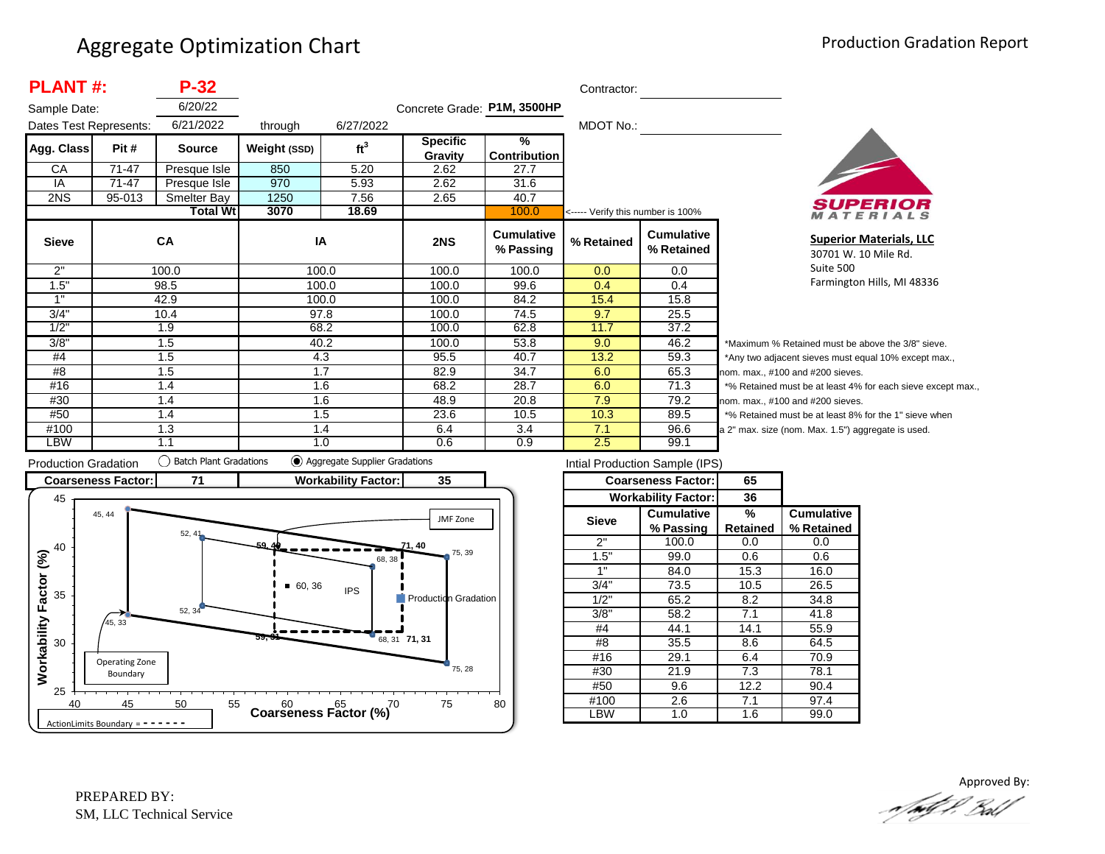| <b>PLANT#:</b><br>$P-32$ |        |                 |              |                 |                             | Contractor:                    |                                   |                                 |                |
|--------------------------|--------|-----------------|--------------|-----------------|-----------------------------|--------------------------------|-----------------------------------|---------------------------------|----------------|
| Sample Date:             |        | 6/20/22         |              |                 | Concrete Grade: P1M, 3500HP |                                |                                   |                                 |                |
| Dates Test Represents:   |        | 6/21/2022       | through      | 6/27/2022       |                             |                                | MDOT No.:                         |                                 |                |
| Agg. Class               | Pit #  | <b>Source</b>   | Weight (SSD) | ft <sup>3</sup> | <b>Specific</b><br>Gravity  | %<br>Contribution              |                                   |                                 |                |
| CA                       | 71-47  | Presque Isle    | 850          | 5.20            | 2.62                        | 27.7                           |                                   |                                 |                |
| IA                       | 71-47  | Presque Isle    | 970          | 5.93            | 2.62                        | 31.6                           |                                   |                                 |                |
| 2NS                      | 95-013 | Smelter Bay     | 1250         | 7.56            | 2.65                        | 40.7                           |                                   |                                 |                |
|                          |        | <b>Total Wt</b> | 3070         | 18.69           |                             | 100.0                          | <----- Verify this number is 100% |                                 |                |
| <b>Sieve</b>             |        | CA              | IA           |                 | 2NS                         | <b>Cumulative</b><br>% Passing | % Retained                        | <b>Cumulative</b><br>% Retained |                |
| 2"                       |        | 100.0           | 100.0        |                 | 100.0                       | 100.0                          | 0.0                               | $0.0\,$                         |                |
| 1.5"                     |        | 98.5            | 100.0        |                 | 100.0                       | 99.6                           | 0.4                               | 0.4                             |                |
| 1"                       |        | 42.9            | 100.0        |                 | 100.0                       | 84.2                           | 15.4                              | 15.8                            |                |
| 3/4"                     |        | 10.4            | 97.8         |                 | 100.0                       | 74.5                           | 9.7                               | 25.5                            |                |
| 1/2"                     |        | 1.9             |              | 68.2            | 100.0                       | 62.8                           | 11.7                              | 37.2                            |                |
| 3/8"                     |        | 1.5             |              | 40.2            | 100.0                       | 53.8                           | 9.0                               | 46.2                            | *۱             |
| #4                       |        | 1.5             | 4.3          |                 | 95.5                        | 40.7                           | 13.2                              | 59.3                            | */             |
| #8                       |        | 1.7<br>1.5      |              |                 | 82.9                        | 34.7                           | 6.0                               | 65.3                            | nor            |
| #16                      |        | 1.4             |              | 1.6             | 68.2                        | 28.7                           | 6.0                               | 71.3                            | $*$ 0          |
| #30                      |        | 1.4             | 1.6          |                 | 48.9                        | 20.8                           | 7.9                               | 79.2                            | nor            |
| #50                      |        | 1.4             | 1.5          |                 | 23.6                        | 10.5                           | 10.3                              | 89.5                            | $*$ 0          |
| #100                     |        | 1.3             | 1.4          |                 | 6.4                         | 3.4                            | 7.1                               | 96.6                            | a <sub>2</sub> |
| LBW                      |        | 1.1             | 1.0          |                 | 0.6                         | 0.9                            | 2.5                               | 99.1                            |                |



**Superior Materials, LLC** 30701 W. 10 Mile Rd. Suite 500 Farmington Hills, MI 48336

Maximum % Retained must be above the 3/8" sieve. Any two adjacent sieves must equal 10% except max., m. max., #100 and #200 sieves. % Retained must be at least 4% for each sieve except max., m. max., #100 and #200 sieves. % Retained must be at least 8% for the 1" sieve when " max. size (nom. Max. 1.5") aggregate is used.



| Intial Production Sample (IPS) |                            |          |                   |  |  |  |  |  |
|--------------------------------|----------------------------|----------|-------------------|--|--|--|--|--|
|                                | <b>Coarseness Factor:</b>  | 65       |                   |  |  |  |  |  |
|                                | <b>Workability Factor:</b> | 36       |                   |  |  |  |  |  |
| <b>Sieve</b>                   | <b>Cumulative</b>          | %        | <b>Cumulative</b> |  |  |  |  |  |
|                                | % Passing                  | Retained | % Retained        |  |  |  |  |  |
| 2"                             | 100.0                      | 0.0      | 0.0               |  |  |  |  |  |
| 1.5"                           | 99.0                       | 0.6      | 0.6               |  |  |  |  |  |
| 1"                             | 84.0                       | 15.3     | 16.0              |  |  |  |  |  |
| 3/4"                           | 73.5                       |          | 26.5              |  |  |  |  |  |
| 1/2"                           | 65.2                       | 8.2      | 34.8              |  |  |  |  |  |
| 3/8"                           | 58.2                       | 7.1      | 41.8              |  |  |  |  |  |
| #4                             | 44.1                       | 14.1     | 55.9              |  |  |  |  |  |
| #8                             | 35.5                       | 8.6      | 64.5              |  |  |  |  |  |
| #16                            | 29.1                       | 6.4      | 70.9              |  |  |  |  |  |
| #30                            | 21.9                       | 7.3      | 78.1              |  |  |  |  |  |
| #50                            | 9.6                        | 12.2     | 90.4              |  |  |  |  |  |
| #100                           | 2.6                        | 7.1      | 97.4              |  |  |  |  |  |
| LBW                            | 1.0                        | 1.6      | 99.0              |  |  |  |  |  |
|                                |                            |          |                   |  |  |  |  |  |

Approved By:<br>Approved By: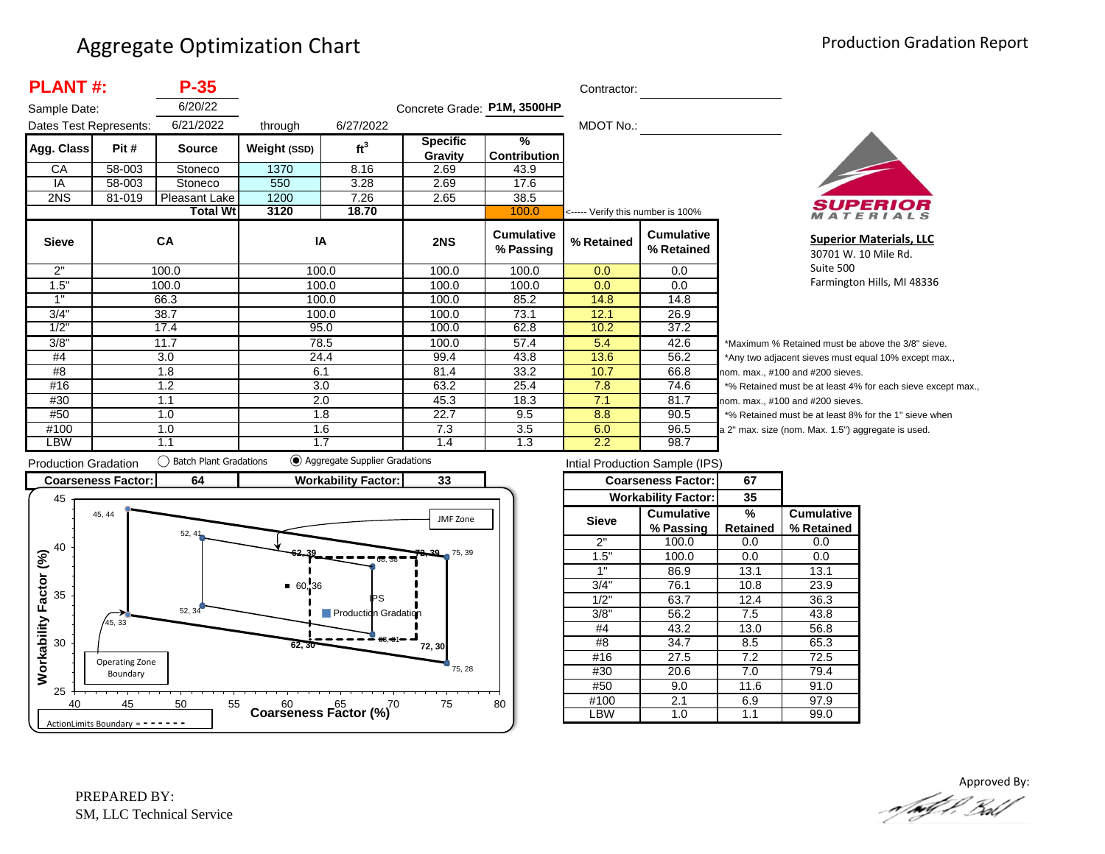| <b>PLANT#:</b><br>$P-35$ |        |                 |              |                 |                             |                                      | Contractor:                       |                                 |                  |
|--------------------------|--------|-----------------|--------------|-----------------|-----------------------------|--------------------------------------|-----------------------------------|---------------------------------|------------------|
| Sample Date:             |        | 6/20/22         |              |                 | Concrete Grade: P1M, 3500HP |                                      |                                   |                                 |                  |
| Dates Test Represents:   |        | 6/21/2022       | through      | 6/27/2022       |                             |                                      | MDOT No.:                         |                                 |                  |
| Agg. Class               | Pit #  | <b>Source</b>   | Weight (SSD) | ft <sup>3</sup> | <b>Specific</b><br>Gravity  | $\frac{9}{6}$<br><b>Contribution</b> |                                   |                                 |                  |
| CA                       | 58-003 | Stoneco         | 1370         | 8.16            | 2.69                        | 43.9                                 |                                   |                                 |                  |
| IA                       | 58-003 | Stoneco         | 550          | 3.28            | 2.69                        | 17.6                                 |                                   |                                 |                  |
| 2NS                      | 81-019 | Pleasant Lake   | 1200         | 7.26            | 2.65                        | 38.5                                 |                                   |                                 |                  |
|                          |        | <b>Total Wt</b> | 3120         | 18.70           |                             | 100.0                                | <----- Verify this number is 100% |                                 |                  |
| <b>Sieve</b>             |        | CA              | IA           |                 | 2NS                         | <b>Cumulative</b><br>% Passing       | % Retained                        | <b>Cumulative</b><br>% Retained |                  |
| 2"                       |        | 100.0           | 100.0        |                 | 100.0                       | 100.0                                | 0.0                               | 0.0                             |                  |
| 1.5"                     |        | 100.0           | 100.0        |                 | 100.0                       | 100.0                                | 0.0                               | 0.0                             |                  |
| 1"                       |        | 66.3            | 100.0        |                 | 100.0                       | 85.2                                 | 14.8                              | 14.8                            |                  |
| 3/4"                     |        | 38.7            |              | 100.0           | 100.0                       | 73.1                                 | 12.1                              | 26.9                            |                  |
| 1/2"                     |        | 17.4            | 95.0         |                 | 100.0                       | 62.8                                 | 10.2                              | 37.2                            |                  |
| 3/8"                     |        | 11.7            | 78.5         |                 | 100.0                       | 57.4                                 | 5.4                               | 42.6                            | *۱               |
| #4                       |        | 3.0             | 24.4         |                 | 99.4                        | 43.8                                 | 13.6                              | 56.2                            | */               |
| #8                       |        | 1.8             | 6.1          |                 | 81.4                        | 33.2                                 | 10.7                              | 66.8                            | nor              |
| #16                      |        | 1.2             | 3.0          |                 | 63.2                        | 25.4                                 | 7.8                               | 74.6                            | $*$ <sup>o</sup> |
| #30                      |        | 1.1             | 2.0          |                 | 45.3                        | 18.3                                 | 7.1                               | 81.7                            | nor              |
| #50                      |        | 1.0             | 1.8          |                 | 22.7                        | 9.5                                  | 8.8                               | 90.5                            | $*$ 0            |
| #100                     |        | 1.0             | 1.6          |                 | 7.3                         | 3.5                                  | 6.0                               | 96.5                            | a <sub>2</sub>   |
| LBW                      |        | 1.1             | 1.7          |                 | 1.4                         | 1.3                                  | 2.2                               | 98.7                            |                  |



**Superior Materials, LLC** 30701 W. 10 Mile Rd. Suite 500 Farmington Hills, MI 48336

Maximum % Retained must be above the 3/8" sieve. Any two adjacent sieves must equal 10% except max., m. max., #100 and #200 sieves. % Retained must be at least 4% for each sieve except max., m. max., #100 and #200 sieves. % Retained must be at least 8% for the 1" sieve when " max. size (nom. Max. 1.5") aggregate is used.



| Intial Production Sample (IPS) |                            |          |                   |  |  |  |  |  |
|--------------------------------|----------------------------|----------|-------------------|--|--|--|--|--|
|                                | <b>Coarseness Factor:</b>  | 67       |                   |  |  |  |  |  |
|                                | <b>Workability Factor:</b> | 35       |                   |  |  |  |  |  |
| <b>Sieve</b>                   | <b>Cumulative</b>          | ℅        | <b>Cumulative</b> |  |  |  |  |  |
|                                | % Passing                  | Retained | % Retained        |  |  |  |  |  |
| 2"                             | 100.0                      | 0.0      | 0.0               |  |  |  |  |  |
| 1.5"                           | 100.0                      | 0.0      | 0.0               |  |  |  |  |  |
| 1"                             | 86.9                       |          | 13.1              |  |  |  |  |  |
| 3/4"                           | 76.1                       |          | 23.9              |  |  |  |  |  |
| 1/2"                           | 63.7                       | 12.4     | 36.3              |  |  |  |  |  |
| 3/8"                           | 56.2                       | 7.5      | 43.8              |  |  |  |  |  |
| #4                             | 43.2                       | 13.0     | 56.8              |  |  |  |  |  |
| #8                             | 34.7                       | 8.5      | 65.3              |  |  |  |  |  |
| #16                            | 27.5                       | 7.2      | 72.5              |  |  |  |  |  |
| #30                            | 20.6                       | 7.0      | 79.4              |  |  |  |  |  |
| #50                            | 9.0                        | 11.6     | 91.0              |  |  |  |  |  |
| #100                           | 2.1                        |          | 97.9              |  |  |  |  |  |
| -BW                            | 1.0                        | 1.1      | 99.0              |  |  |  |  |  |

Approved By:<br>Approved By: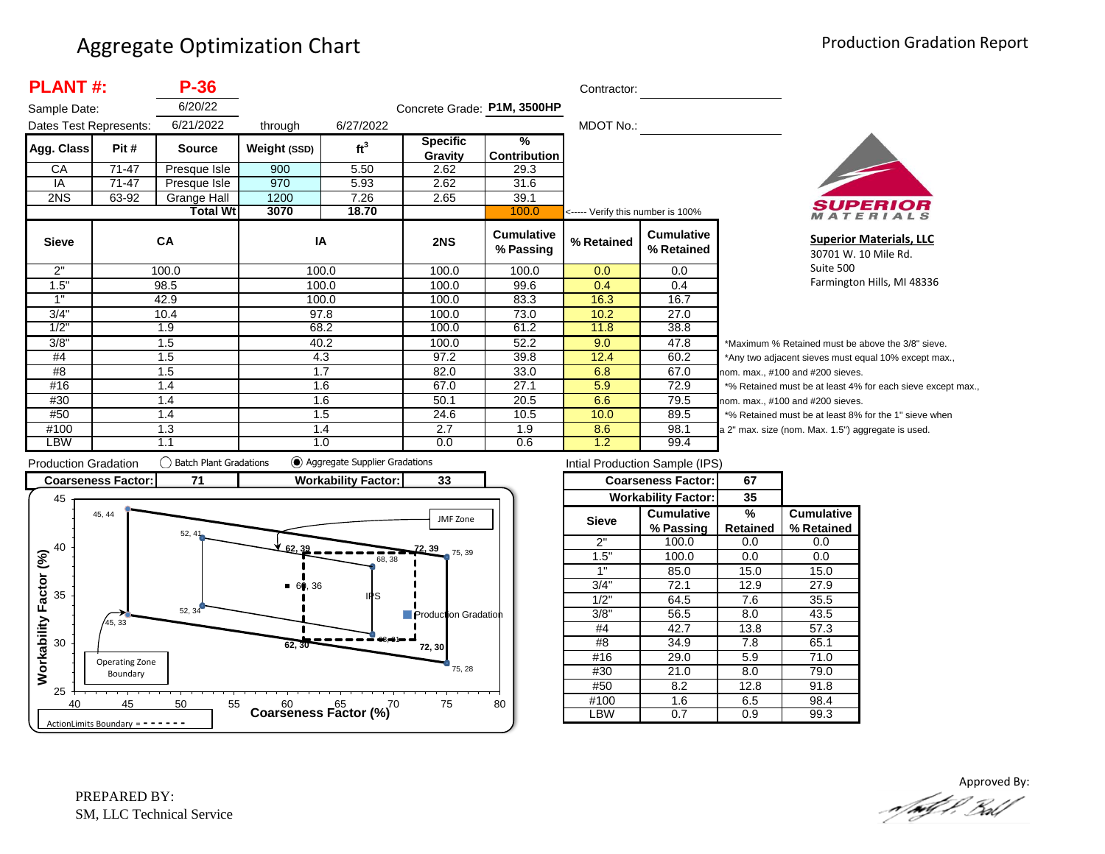| <b>PLANT#:</b>         |       | $P-36$          |              |                 |                             |                                | Contractor:                       |                                 |                          |
|------------------------|-------|-----------------|--------------|-----------------|-----------------------------|--------------------------------|-----------------------------------|---------------------------------|--------------------------|
| Sample Date:           |       | 6/20/22         |              |                 | Concrete Grade: P1M, 3500HP |                                |                                   |                                 |                          |
| Dates Test Represents: |       | 6/21/2022       | through      | 6/27/2022       |                             |                                | MDOT No.:                         |                                 |                          |
| Agg. Class             | Pit # | <b>Source</b>   | Weight (SSD) | ft <sup>3</sup> | <b>Specific</b>             | %                              |                                   |                                 |                          |
|                        |       |                 |              |                 | Gravity                     | <b>Contribution</b>            |                                   |                                 |                          |
| CA                     | 71-47 | Presque Isle    | 900          | 5.50            | 2.62                        | 29.3                           |                                   |                                 |                          |
| IA                     | 71-47 | Presque Isle    | 970          | 5.93            | 2.62                        | 31.6                           |                                   |                                 |                          |
| 2NS                    | 63-92 | Grange Hall     | 1200         | 7.26            | 2.65                        | 39.1                           |                                   |                                 |                          |
|                        |       | <b>Total Wt</b> | 3070         | 18.70           |                             | 100.0                          | <----- Verify this number is 100% |                                 |                          |
| <b>Sieve</b>           |       | <b>CA</b>       | IA           |                 | 2NS                         | <b>Cumulative</b><br>% Passing | % Retained                        | <b>Cumulative</b><br>% Retained |                          |
| 2"                     | 100.0 |                 |              | 100.0           | 100.0                       | 100.0                          | 0.0                               | 0.0                             |                          |
| 1.5"                   |       | 98.5            |              | 100.0           | 100.0                       | 99.6                           | 0.4                               | 0.4                             |                          |
| 1"                     |       | 42.9            |              | 100.0           | 100.0                       | 83.3                           | 16.3                              | 16.7                            |                          |
| 3/4"                   |       | 10.4            |              | 97.8            | 100.0                       | 73.0                           | 10.2                              | 27.0                            |                          |
| 1/2"                   | 1.9   |                 |              | 68.2            | 100.0                       | 61.2                           | 11.8                              | 38.8                            |                          |
| 3/8"                   | 1.5   |                 |              | 40.2            | 100.0                       | 52.2                           | 9.0                               | 47.8                            | $\overline{\phantom{a}}$ |
| #4                     | 1.5   |                 |              | 4.3             | 97.2                        | 39.8                           | 12.4                              | 60.2                            | $\overline{z}$           |
| #8                     | 1.5   |                 | 1.7          |                 | 82.0                        | 33.0                           | 6.8                               | 67.0                            | no                       |
| #16                    | 1.4   |                 | 1.6          |                 | 67.0                        | 27.1                           | 5.9                               | 72.9                            | $\star$                  |
| #30                    | 1.4   |                 |              | 1.6             | 50.1                        | 20.5                           | 6.6                               | 79.5                            | no                       |
| #50                    |       | 1.4             |              | 1.5             | 24.6                        | 10.5                           | 10.0                              | 89.5                            | $\star$                  |
| #100                   |       | 1.3             |              | 1.4             | 2.7                         | 1.9                            | 8.6                               | 98.1                            | a 2                      |
| <b>LBW</b>             |       | 1.1             |              | 1.0             | 0.0                         | 0.6                            | 1.2                               | 99.4                            |                          |



**Superior Materials, LLC** 30701 W. 10 Mile Rd. Suite 500 Farmington Hills, MI 48336

Maximum % Retained must be above the 3/8" sieve. Any two adjacent sieves must equal 10% except max.,  $em.$  max.,  $#100$  and  $#200$  sieves. % Retained must be at least 4% for each sieve except max.,  $km.$  max.,  $#100$  and  $#200$  sieves. % Retained must be at least 8% for the 1" sieve when 2" max. size (nom. Max. 1.5") aggregate is used.



|              | Intial Production Sample (IPS) |                 |                   |  |
|--------------|--------------------------------|-----------------|-------------------|--|
|              | <b>Coarseness Factor:</b>      | 67              |                   |  |
|              | <b>Workability Factor:</b>     | 35              |                   |  |
| <b>Sieve</b> | <b>Cumulative</b>              | %               | <b>Cumulative</b> |  |
|              | % Passing                      | <b>Retained</b> | % Retained        |  |
| 2"           | 100.0                          | 0.0             | 0.0               |  |
| 1.5"         | 100.0                          | 0.0             | 0.0               |  |
| 1"           | 85.0                           | 15.0            | 15.0              |  |
| 3/4"         | 72.1                           | 12.9            | 27.9              |  |
| 1/2"         | 64.5                           | 7.6             | 35.5              |  |
| 3/8"         | 56.5                           | 8.0             | 43.5              |  |
| #4           | 42.7                           | 13.8            | 57.3              |  |
| #8           | 34.9                           | 7.8             | 65.1              |  |
| #16          | 29.0                           | 5.9             | 71.0              |  |
| #30          | 21.0                           | 8.0             | 79.0              |  |
| #50          | 8.2                            | 12.8            | 91.8              |  |
| #100         | 1.6                            | 6.5             | 98.4              |  |
| LBW          | 0.7                            | 0.9             | 99.3              |  |

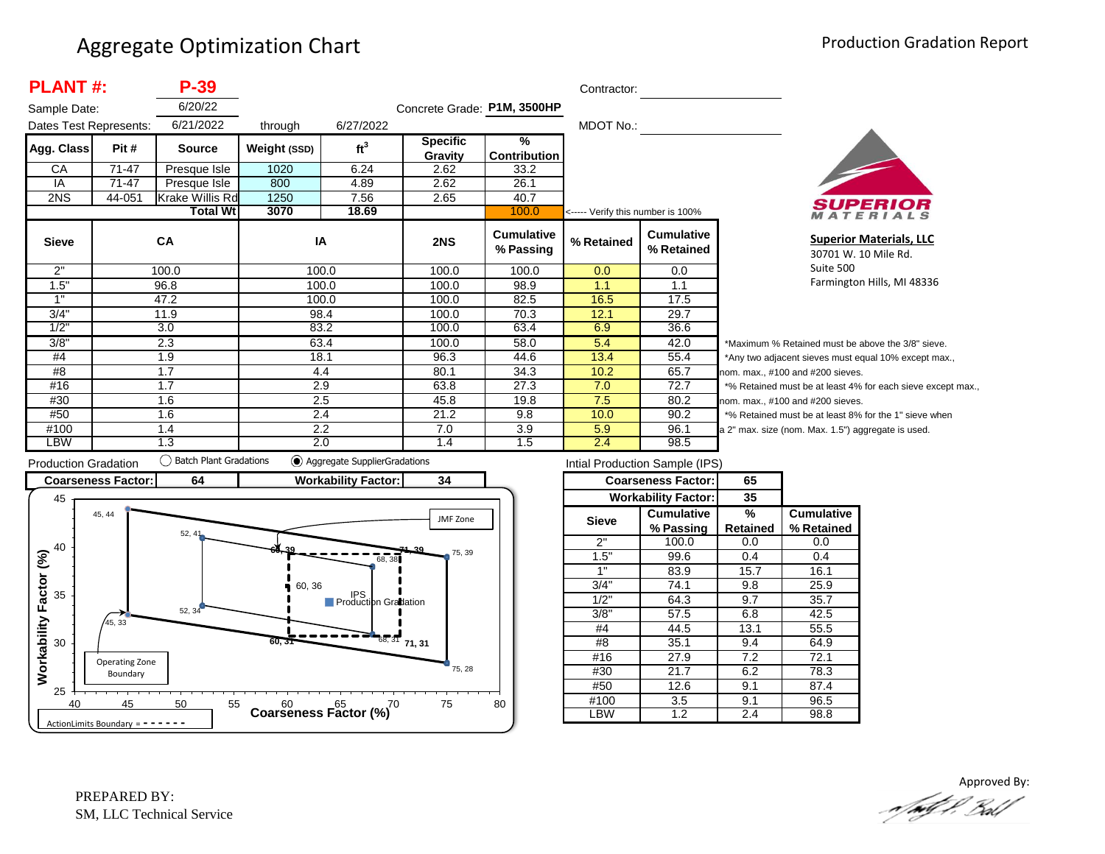| <b>PLANT#:</b>         |        | $P-39$                 |              |                 |                             |                                | Contractor:                       |                                 |                |
|------------------------|--------|------------------------|--------------|-----------------|-----------------------------|--------------------------------|-----------------------------------|---------------------------------|----------------|
| Sample Date:           |        | 6/20/22                |              |                 | Concrete Grade: P1M, 3500HP |                                |                                   |                                 |                |
| Dates Test Represents: |        | 6/21/2022              | through      | 6/27/2022       |                             |                                | MDOT No.:                         |                                 |                |
| Agg. Class             | Pit #  | <b>Source</b>          | Weight (SSD) | ft <sup>3</sup> | <b>Specific</b>             | $\frac{9}{6}$                  |                                   |                                 |                |
|                        |        |                        |              |                 | Gravity                     | <b>Contribution</b>            |                                   |                                 |                |
| СA                     | 71-47  | Presque Isle           | 1020         | 6.24            | 2.62                        | 33.2                           |                                   |                                 |                |
| IA                     | 71-47  | Presque Isle           | 800          | 4.89            | 2.62                        | 26.1                           |                                   |                                 |                |
| 2NS                    | 44-051 | <b>Krake Willis Rd</b> | 1250         | 7.56            | 2.65                        | 40.7                           |                                   |                                 |                |
|                        |        | <b>Total Wtl</b>       | 3070         | 18.69           |                             | 100.0                          | <----- Verify this number is 100% |                                 |                |
| <b>Sieve</b>           |        | CA                     | IA           |                 | 2NS                         | <b>Cumulative</b><br>% Passing | % Retained                        | <b>Cumulative</b><br>% Retained |                |
| 2"                     |        | 100.0                  | 100.0        |                 | 100.0                       | 100.0                          | 0.0                               | 0.0                             |                |
| 1.5"                   |        | 96.8                   | 100.0        |                 | 100.0                       | 98.9                           | 1.1                               | 1.1                             |                |
| 1"                     |        | 47.2                   | 100.0        |                 | 100.0                       | 82.5                           | 16.5                              | 17.5                            |                |
| 3/4"                   |        | 11.9                   | 98.4         |                 | 100.0                       | 70.3                           | 12.1                              | 29.7                            |                |
| 1/2"                   |        | 3.0                    | 83.2         |                 | 100.0                       | 63.4                           | 6.9                               | 36.6                            |                |
| 3/8"                   | 2.3    |                        | 63.4         |                 | 100.0                       | 58.0                           | 5.4                               | 42.0                            | *Μ             |
| #4                     | 1.9    |                        | 18.1         |                 | 96.3                        | 44.6                           | 13.4                              | 55.4                            | *Α             |
| #8                     | 1.7    |                        | 4.4          |                 | 80.1                        | 34.3                           | 10.2                              | 65.7                            | nor            |
| #16                    | 1.7    |                        | 2.9          |                 | 63.8                        | 27.3                           | 7.0                               | 72.7                            | $*_{\circ}$    |
| #30                    |        | 1.6                    | 2.5          |                 | 45.8                        | 19.8                           | 7.5                               | 80.2                            | nor            |
| #50                    |        | 1.6                    | 2.4          |                 | 21.2                        | 9.8                            | 10.0                              | 90.2                            | $*_{\circ}$    |
| #100                   |        | 1.4                    | 2.2          |                 | 7.0                         | 3.9                            | 5.9                               | 96.1                            | a <sub>2</sub> |
| LBW                    |        | 1.3                    | 2.0          |                 | 1.4                         | 1.5                            | 2.4                               | 98.5                            |                |



**Superior Materials, LLC** 30701 W. 10 Mile Rd. Suite 500 Farmington Hills, MI 48336

Maximum % Retained must be above the 3/8" sieve. Any two adjacent sieves must equal 10% except max., m. max., #100 and #200 sieves. % Retained must be at least 4% for each sieve except max., m. max., #100 and #200 sieves. % Retained must be at least 8% for the 1" sieve when " max. size (nom. Max. 1.5") aggregate is used.



| Intial Production Sample (IPS) |                            |          |                   |  |  |  |  |  |
|--------------------------------|----------------------------|----------|-------------------|--|--|--|--|--|
|                                | <b>Coarseness Factor:</b>  | 65       |                   |  |  |  |  |  |
|                                | <b>Workability Factor:</b> | 35       |                   |  |  |  |  |  |
| <b>Sieve</b>                   | <b>Cumulative</b>          | %        | <b>Cumulative</b> |  |  |  |  |  |
|                                | % Passing                  | Retained | % Retained        |  |  |  |  |  |
| 2"                             | 100.0                      | 0.0      | 0.0               |  |  |  |  |  |
| 1.5"                           | 99.6                       | 0.4      | 0.4               |  |  |  |  |  |
| 1"                             | 83.9                       | 15.7     | 16.1              |  |  |  |  |  |
| 3/4"                           | 74.1                       | 9.8      | 25.9              |  |  |  |  |  |
| 1/2"                           | 64.3                       | 9.7      | 35.7              |  |  |  |  |  |
| 3/8"                           | 57.5                       | 6.8      | 42.5              |  |  |  |  |  |
| #4                             | 44.5                       | 13.1     | 55.5              |  |  |  |  |  |
| #8                             | 35.1                       | 9.4      | 64.9              |  |  |  |  |  |
| #16                            | 27.9                       | 7.2      | 72.1              |  |  |  |  |  |
| #30                            | 21.7                       | 6.2      | 78.3              |  |  |  |  |  |
| #50                            | 12.6                       | 9.1      | 87.4              |  |  |  |  |  |
| #100                           | 3.5                        | 9.1      | 96.5              |  |  |  |  |  |
| -BW                            | 1.2                        | 2.4      | 98.8              |  |  |  |  |  |

Approved By:<br>Approved By: